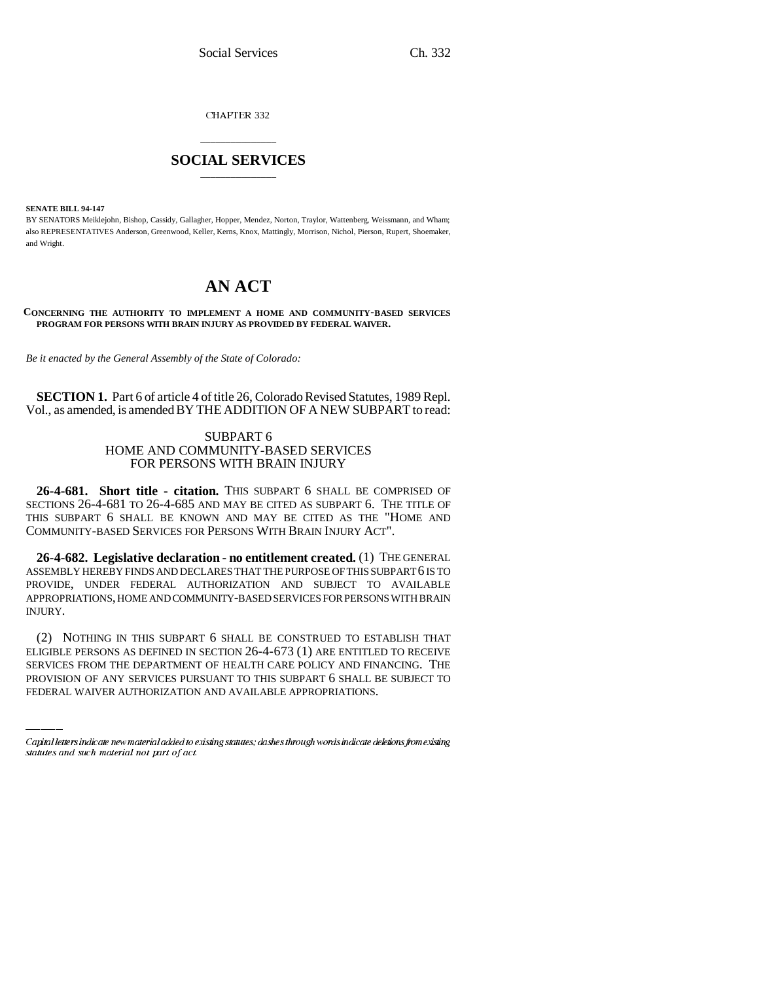CHAPTER 332

# \_\_\_\_\_\_\_\_\_\_\_\_\_\_\_ **SOCIAL SERVICES** \_\_\_\_\_\_\_\_\_\_\_\_\_\_\_

**SENATE BILL 94-147**

BY SENATORS Meiklejohn, Bishop, Cassidy, Gallagher, Hopper, Mendez, Norton, Traylor, Wattenberg, Weissmann, and Wham; also REPRESENTATIVES Anderson, Greenwood, Keller, Kerns, Knox, Mattingly, Morrison, Nichol, Pierson, Rupert, Shoemaker, and Wright.

# **AN ACT**

#### **CONCERNING THE AUTHORITY TO IMPLEMENT A HOME AND COMMUNITY-BASED SERVICES PROGRAM FOR PERSONS WITH BRAIN INJURY AS PROVIDED BY FEDERAL WAIVER.**

*Be it enacted by the General Assembly of the State of Colorado:*

**SECTION 1.** Part 6 of article 4 of title 26, Colorado Revised Statutes, 1989 Repl. Vol., as amended, is amended BY THE ADDITION OF A NEW SUBPART to read:

### SUBPART 6 HOME AND COMMUNITY-BASED SERVICES FOR PERSONS WITH BRAIN INJURY

**26-4-681. Short title - citation.** THIS SUBPART 6 SHALL BE COMPRISED OF SECTIONS 26-4-681 TO 26-4-685 AND MAY BE CITED AS SUBPART 6. THE TITLE OF THIS SUBPART 6 SHALL BE KNOWN AND MAY BE CITED AS THE "HOME AND COMMUNITY-BASED SERVICES FOR PERSONS WITH BRAIN INJURY ACT".

**26-4-682. Legislative declaration - no entitlement created.** (1) THE GENERAL ASSEMBLY HEREBY FINDS AND DECLARES THAT THE PURPOSE OF THIS SUBPART 6 IS TO PROVIDE, UNDER FEDERAL AUTHORIZATION AND SUBJECT TO AVAILABLE APPROPRIATIONS, HOME AND COMMUNITY-BASED SERVICES FOR PERSONS WITH BRAIN INJURY.

(2) NOTHING IN THIS SUBPART 6 SHALL BE CONSTRUED TO ESTABLISH THAT ELIGIBLE PERSONS AS DEFINED IN SECTION 26-4-673 (1) ARE ENTITLED TO RECEIVE SERVICES FROM THE DEPARTMENT OF HEALTH CARE POLICY AND FINANCING. THE PROVISION OF ANY SERVICES PURSUANT TO THIS SUBPART 6 SHALL BE SUBJECT TO FEDERAL WAIVER AUTHORIZATION AND AVAILABLE APPROPRIATIONS.

Capital letters indicate new material added to existing statutes; dashes through words indicate deletions from existing statutes and such material not part of act.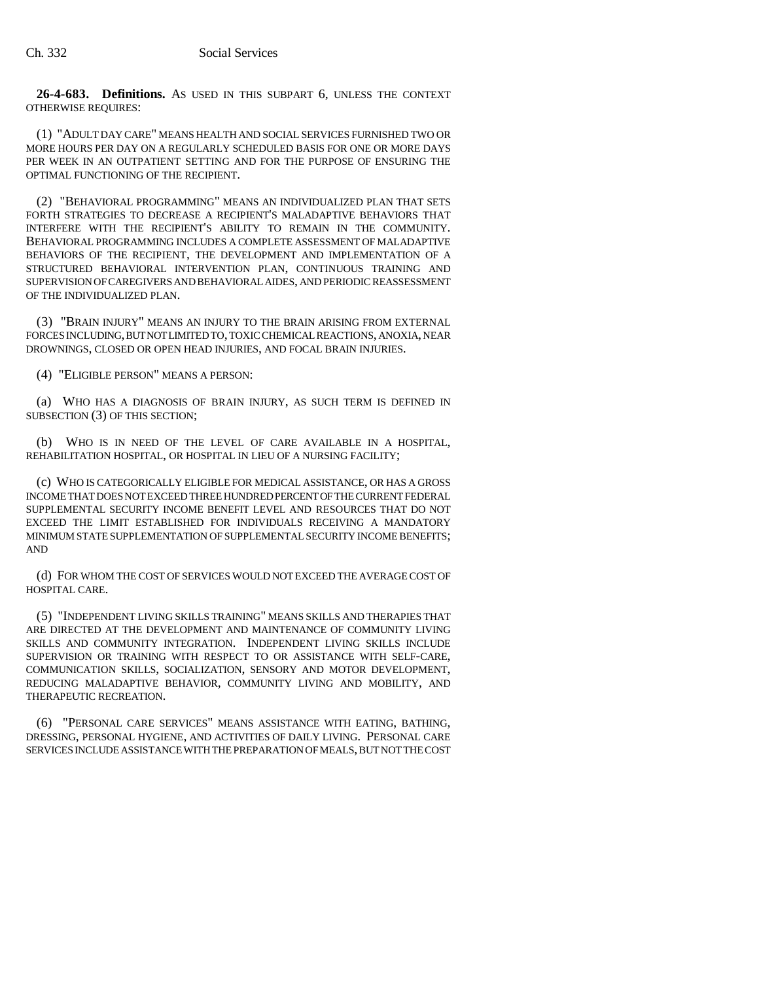**26-4-683. Definitions.** AS USED IN THIS SUBPART 6, UNLESS THE CONTEXT OTHERWISE REQUIRES:

(1) "ADULT DAY CARE" MEANS HEALTH AND SOCIAL SERVICES FURNISHED TWO OR MORE HOURS PER DAY ON A REGULARLY SCHEDULED BASIS FOR ONE OR MORE DAYS PER WEEK IN AN OUTPATIENT SETTING AND FOR THE PURPOSE OF ENSURING THE OPTIMAL FUNCTIONING OF THE RECIPIENT.

(2) "BEHAVIORAL PROGRAMMING" MEANS AN INDIVIDUALIZED PLAN THAT SETS FORTH STRATEGIES TO DECREASE A RECIPIENT'S MALADAPTIVE BEHAVIORS THAT INTERFERE WITH THE RECIPIENT'S ABILITY TO REMAIN IN THE COMMUNITY. BEHAVIORAL PROGRAMMING INCLUDES A COMPLETE ASSESSMENT OF MALADAPTIVE BEHAVIORS OF THE RECIPIENT, THE DEVELOPMENT AND IMPLEMENTATION OF A STRUCTURED BEHAVIORAL INTERVENTION PLAN, CONTINUOUS TRAINING AND SUPERVISION OF CAREGIVERS AND BEHAVIORAL AIDES, AND PERIODIC REASSESSMENT OF THE INDIVIDUALIZED PLAN.

(3) "BRAIN INJURY" MEANS AN INJURY TO THE BRAIN ARISING FROM EXTERNAL FORCES INCLUDING, BUT NOT LIMITED TO, TOXIC CHEMICAL REACTIONS, ANOXIA, NEAR DROWNINGS, CLOSED OR OPEN HEAD INJURIES, AND FOCAL BRAIN INJURIES.

(4) "ELIGIBLE PERSON" MEANS A PERSON:

(a) WHO HAS A DIAGNOSIS OF BRAIN INJURY, AS SUCH TERM IS DEFINED IN SUBSECTION (3) OF THIS SECTION;

(b) WHO IS IN NEED OF THE LEVEL OF CARE AVAILABLE IN A HOSPITAL, REHABILITATION HOSPITAL, OR HOSPITAL IN LIEU OF A NURSING FACILITY;

(c) WHO IS CATEGORICALLY ELIGIBLE FOR MEDICAL ASSISTANCE, OR HAS A GROSS INCOME THAT DOES NOT EXCEED THREE HUNDRED PERCENT OF THE CURRENT FEDERAL SUPPLEMENTAL SECURITY INCOME BENEFIT LEVEL AND RESOURCES THAT DO NOT EXCEED THE LIMIT ESTABLISHED FOR INDIVIDUALS RECEIVING A MANDATORY MINIMUM STATE SUPPLEMENTATION OF SUPPLEMENTAL SECURITY INCOME BENEFITS; AND

(d) FOR WHOM THE COST OF SERVICES WOULD NOT EXCEED THE AVERAGE COST OF HOSPITAL CARE.

(5) "INDEPENDENT LIVING SKILLS TRAINING" MEANS SKILLS AND THERAPIES THAT ARE DIRECTED AT THE DEVELOPMENT AND MAINTENANCE OF COMMUNITY LIVING SKILLS AND COMMUNITY INTEGRATION. INDEPENDENT LIVING SKILLS INCLUDE SUPERVISION OR TRAINING WITH RESPECT TO OR ASSISTANCE WITH SELF-CARE, COMMUNICATION SKILLS, SOCIALIZATION, SENSORY AND MOTOR DEVELOPMENT, REDUCING MALADAPTIVE BEHAVIOR, COMMUNITY LIVING AND MOBILITY, AND THERAPEUTIC RECREATION.

(6) "PERSONAL CARE SERVICES" MEANS ASSISTANCE WITH EATING, BATHING, DRESSING, PERSONAL HYGIENE, AND ACTIVITIES OF DAILY LIVING. PERSONAL CARE SERVICES INCLUDE ASSISTANCE WITH THE PREPARATION OF MEALS, BUT NOT THE COST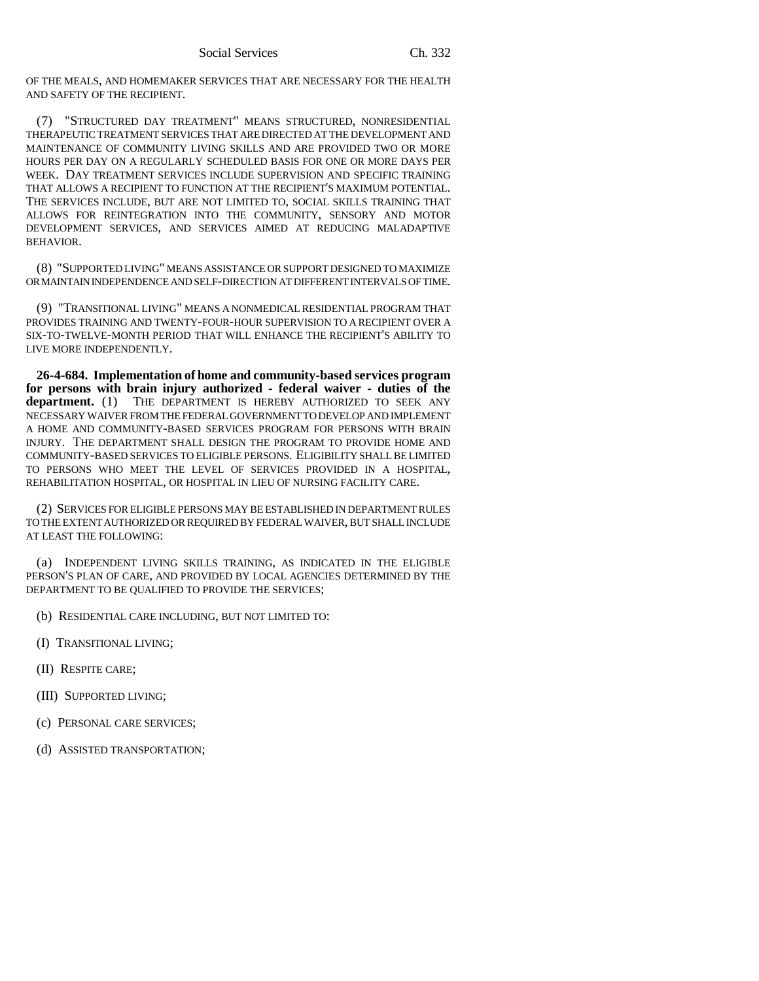OF THE MEALS, AND HOMEMAKER SERVICES THAT ARE NECESSARY FOR THE HEALTH AND SAFETY OF THE RECIPIENT.

(7) "STRUCTURED DAY TREATMENT" MEANS STRUCTURED, NONRESIDENTIAL THERAPEUTIC TREATMENT SERVICES THAT ARE DIRECTED AT THE DEVELOPMENT AND MAINTENANCE OF COMMUNITY LIVING SKILLS AND ARE PROVIDED TWO OR MORE HOURS PER DAY ON A REGULARLY SCHEDULED BASIS FOR ONE OR MORE DAYS PER WEEK. DAY TREATMENT SERVICES INCLUDE SUPERVISION AND SPECIFIC TRAINING THAT ALLOWS A RECIPIENT TO FUNCTION AT THE RECIPIENT'S MAXIMUM POTENTIAL. THE SERVICES INCLUDE, BUT ARE NOT LIMITED TO, SOCIAL SKILLS TRAINING THAT ALLOWS FOR REINTEGRATION INTO THE COMMUNITY, SENSORY AND MOTOR DEVELOPMENT SERVICES, AND SERVICES AIMED AT REDUCING MALADAPTIVE BEHAVIOR.

(8) "SUPPORTED LIVING" MEANS ASSISTANCE OR SUPPORT DESIGNED TO MAXIMIZE OR MAINTAIN INDEPENDENCE AND SELF-DIRECTION AT DIFFERENT INTERVALS OF TIME.

(9) "TRANSITIONAL LIVING" MEANS A NONMEDICAL RESIDENTIAL PROGRAM THAT PROVIDES TRAINING AND TWENTY-FOUR-HOUR SUPERVISION TO A RECIPIENT OVER A SIX-TO-TWELVE-MONTH PERIOD THAT WILL ENHANCE THE RECIPIENT'S ABILITY TO LIVE MORE INDEPENDENTLY.

**26-4-684. Implementation of home and community-based services program for persons with brain injury authorized - federal waiver - duties of the department.** (1) THE DEPARTMENT IS HEREBY AUTHORIZED TO SEEK ANY NECESSARY WAIVER FROM THE FEDERAL GOVERNMENT TO DEVELOP AND IMPLEMENT A HOME AND COMMUNITY-BASED SERVICES PROGRAM FOR PERSONS WITH BRAIN INJURY. THE DEPARTMENT SHALL DESIGN THE PROGRAM TO PROVIDE HOME AND COMMUNITY-BASED SERVICES TO ELIGIBLE PERSONS. ELIGIBILITY SHALL BE LIMITED TO PERSONS WHO MEET THE LEVEL OF SERVICES PROVIDED IN A HOSPITAL, REHABILITATION HOSPITAL, OR HOSPITAL IN LIEU OF NURSING FACILITY CARE.

(2) SERVICES FOR ELIGIBLE PERSONS MAY BE ESTABLISHED IN DEPARTMENT RULES TO THE EXTENT AUTHORIZED OR REQUIRED BY FEDERAL WAIVER, BUT SHALL INCLUDE AT LEAST THE FOLLOWING:

(a) INDEPENDENT LIVING SKILLS TRAINING, AS INDICATED IN THE ELIGIBLE PERSON'S PLAN OF CARE, AND PROVIDED BY LOCAL AGENCIES DETERMINED BY THE DEPARTMENT TO BE QUALIFIED TO PROVIDE THE SERVICES;

(b) RESIDENTIAL CARE INCLUDING, BUT NOT LIMITED TO:

- (I) TRANSITIONAL LIVING;
- (II) RESPITE CARE;
- (III) SUPPORTED LIVING;
- (c) PERSONAL CARE SERVICES;
- (d) ASSISTED TRANSPORTATION;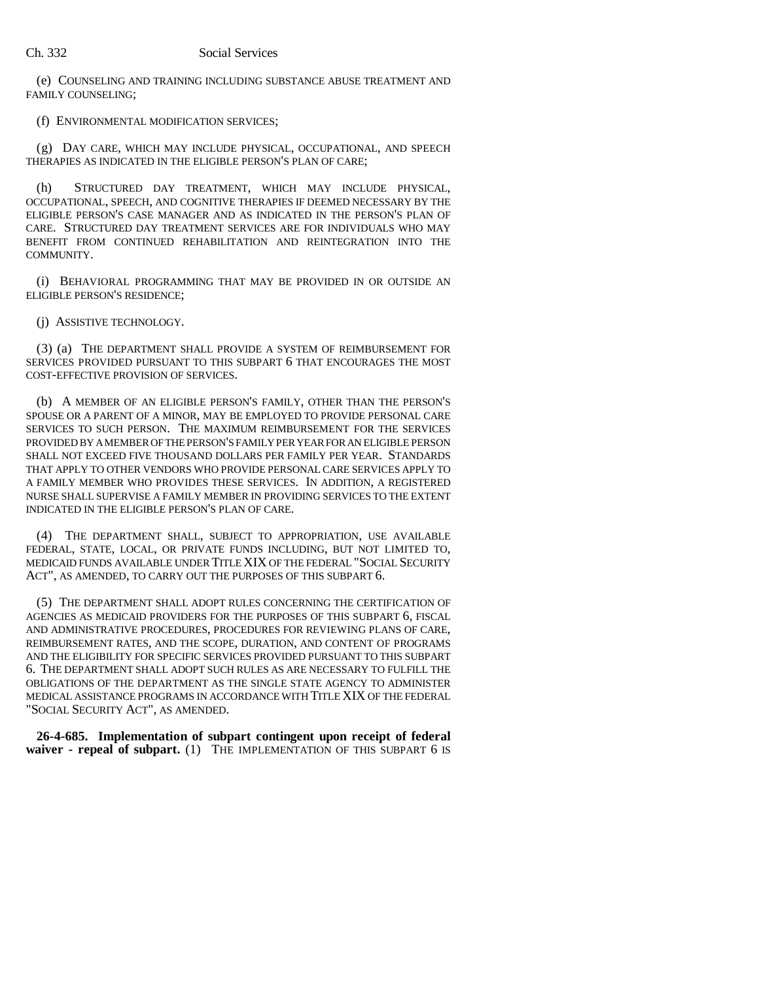(e) COUNSELING AND TRAINING INCLUDING SUBSTANCE ABUSE TREATMENT AND FAMILY COUNSELING;

(f) ENVIRONMENTAL MODIFICATION SERVICES;

(g) DAY CARE, WHICH MAY INCLUDE PHYSICAL, OCCUPATIONAL, AND SPEECH THERAPIES AS INDICATED IN THE ELIGIBLE PERSON'S PLAN OF CARE;

(h) STRUCTURED DAY TREATMENT, WHICH MAY INCLUDE PHYSICAL, OCCUPATIONAL, SPEECH, AND COGNITIVE THERAPIES IF DEEMED NECESSARY BY THE ELIGIBLE PERSON'S CASE MANAGER AND AS INDICATED IN THE PERSON'S PLAN OF CARE. STRUCTURED DAY TREATMENT SERVICES ARE FOR INDIVIDUALS WHO MAY BENEFIT FROM CONTINUED REHABILITATION AND REINTEGRATION INTO THE COMMUNITY.

(i) BEHAVIORAL PROGRAMMING THAT MAY BE PROVIDED IN OR OUTSIDE AN ELIGIBLE PERSON'S RESIDENCE;

(j) ASSISTIVE TECHNOLOGY.

(3) (a) THE DEPARTMENT SHALL PROVIDE A SYSTEM OF REIMBURSEMENT FOR SERVICES PROVIDED PURSUANT TO THIS SUBPART 6 THAT ENCOURAGES THE MOST COST-EFFECTIVE PROVISION OF SERVICES.

(b) A MEMBER OF AN ELIGIBLE PERSON'S FAMILY, OTHER THAN THE PERSON'S SPOUSE OR A PARENT OF A MINOR, MAY BE EMPLOYED TO PROVIDE PERSONAL CARE SERVICES TO SUCH PERSON. THE MAXIMUM REIMBURSEMENT FOR THE SERVICES PROVIDED BY A MEMBER OF THE PERSON'S FAMILY PER YEAR FOR AN ELIGIBLE PERSON SHALL NOT EXCEED FIVE THOUSAND DOLLARS PER FAMILY PER YEAR. STANDARDS THAT APPLY TO OTHER VENDORS WHO PROVIDE PERSONAL CARE SERVICES APPLY TO A FAMILY MEMBER WHO PROVIDES THESE SERVICES. IN ADDITION, A REGISTERED NURSE SHALL SUPERVISE A FAMILY MEMBER IN PROVIDING SERVICES TO THE EXTENT INDICATED IN THE ELIGIBLE PERSON'S PLAN OF CARE.

(4) THE DEPARTMENT SHALL, SUBJECT TO APPROPRIATION, USE AVAILABLE FEDERAL, STATE, LOCAL, OR PRIVATE FUNDS INCLUDING, BUT NOT LIMITED TO, MEDICAID FUNDS AVAILABLE UNDER TITLE XIX OF THE FEDERAL "SOCIAL SECURITY ACT", AS AMENDED, TO CARRY OUT THE PURPOSES OF THIS SUBPART 6.

(5) THE DEPARTMENT SHALL ADOPT RULES CONCERNING THE CERTIFICATION OF AGENCIES AS MEDICAID PROVIDERS FOR THE PURPOSES OF THIS SUBPART 6, FISCAL AND ADMINISTRATIVE PROCEDURES, PROCEDURES FOR REVIEWING PLANS OF CARE, REIMBURSEMENT RATES, AND THE SCOPE, DURATION, AND CONTENT OF PROGRAMS AND THE ELIGIBILITY FOR SPECIFIC SERVICES PROVIDED PURSUANT TO THIS SUBPART 6. THE DEPARTMENT SHALL ADOPT SUCH RULES AS ARE NECESSARY TO FULFILL THE OBLIGATIONS OF THE DEPARTMENT AS THE SINGLE STATE AGENCY TO ADMINISTER MEDICAL ASSISTANCE PROGRAMS IN ACCORDANCE WITH TITLE XIX OF THE FEDERAL "SOCIAL SECURITY ACT", AS AMENDED.

**26-4-685. Implementation of subpart contingent upon receipt of federal** waiver - repeal of subpart. (1) THE IMPLEMENTATION OF THIS SUBPART 6 IS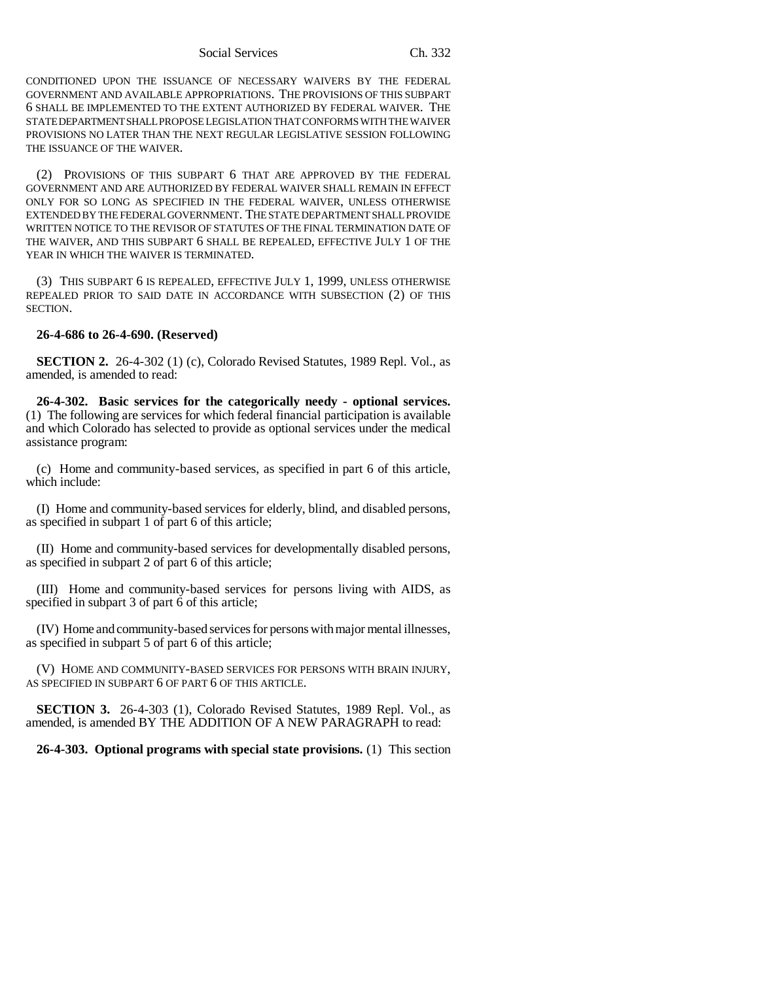Social Services Ch. 332

CONDITIONED UPON THE ISSUANCE OF NECESSARY WAIVERS BY THE FEDERAL GOVERNMENT AND AVAILABLE APPROPRIATIONS. THE PROVISIONS OF THIS SUBPART 6 SHALL BE IMPLEMENTED TO THE EXTENT AUTHORIZED BY FEDERAL WAIVER. THE STATE DEPARTMENT SHALL PROPOSE LEGISLATION THAT CONFORMS WITH THE WAIVER PROVISIONS NO LATER THAN THE NEXT REGULAR LEGISLATIVE SESSION FOLLOWING THE ISSUANCE OF THE WAIVER.

(2) PROVISIONS OF THIS SUBPART 6 THAT ARE APPROVED BY THE FEDERAL GOVERNMENT AND ARE AUTHORIZED BY FEDERAL WAIVER SHALL REMAIN IN EFFECT ONLY FOR SO LONG AS SPECIFIED IN THE FEDERAL WAIVER, UNLESS OTHERWISE EXTENDED BY THE FEDERAL GOVERNMENT. THE STATE DEPARTMENT SHALL PROVIDE WRITTEN NOTICE TO THE REVISOR OF STATUTES OF THE FINAL TERMINATION DATE OF THE WAIVER, AND THIS SUBPART 6 SHALL BE REPEALED, EFFECTIVE JULY 1 OF THE YEAR IN WHICH THE WAIVER IS TERMINATED.

(3) THIS SUBPART 6 IS REPEALED, EFFECTIVE JULY 1, 1999, UNLESS OTHERWISE REPEALED PRIOR TO SAID DATE IN ACCORDANCE WITH SUBSECTION (2) OF THIS SECTION.

## **26-4-686 to 26-4-690. (Reserved)**

**SECTION 2.** 26-4-302 (1) (c), Colorado Revised Statutes, 1989 Repl. Vol., as amended, is amended to read:

**26-4-302. Basic services for the categorically needy - optional services.** (1) The following are services for which federal financial participation is available and which Colorado has selected to provide as optional services under the medical assistance program:

(c) Home and community-based services, as specified in part 6 of this article, which include:

(I) Home and community-based services for elderly, blind, and disabled persons, as specified in subpart 1 of part 6 of this article;

(II) Home and community-based services for developmentally disabled persons, as specified in subpart 2 of part 6 of this article;

(III) Home and community-based services for persons living with AIDS, as specified in subpart 3 of part 6 of this article;

(IV) Home and community-based services for persons with major mental illnesses, as specified in subpart 5 of part 6 of this article;

(V) HOME AND COMMUNITY-BASED SERVICES FOR PERSONS WITH BRAIN INJURY, AS SPECIFIED IN SUBPART 6 OF PART 6 OF THIS ARTICLE.

**SECTION 3.** 26-4-303 (1), Colorado Revised Statutes, 1989 Repl. Vol., as amended, is amended BY THE ADDITION OF A NEW PARAGRAPH to read:

**26-4-303. Optional programs with special state provisions.** (1) This section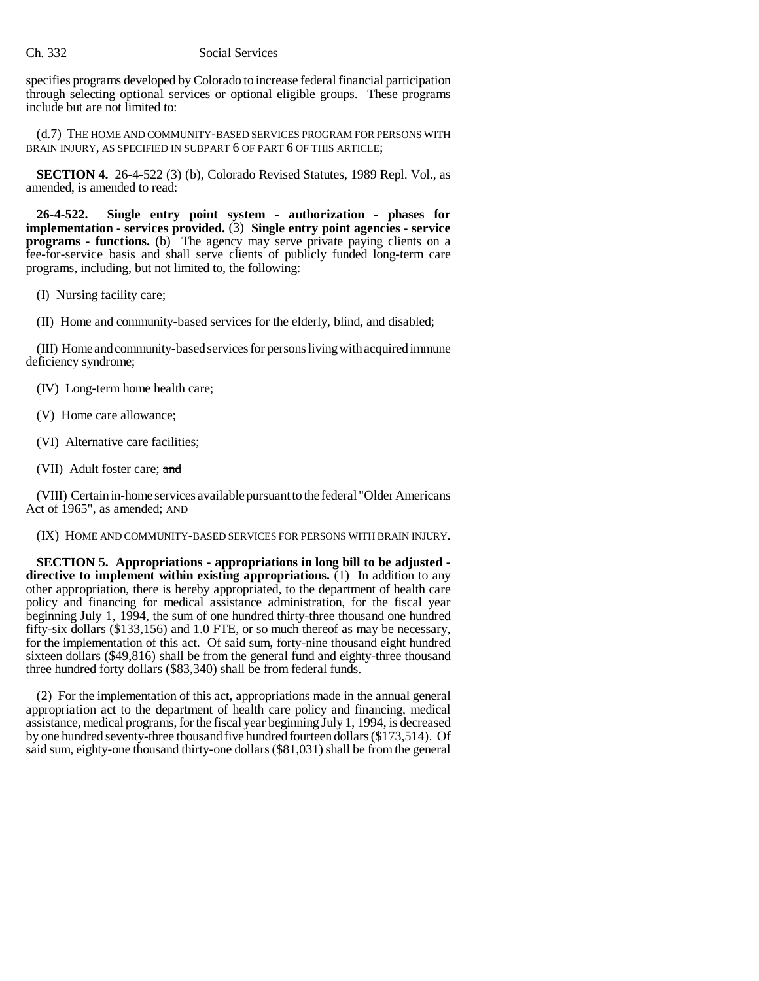#### Ch. 332 Social Services

specifies programs developed by Colorado to increase federal financial participation through selecting optional services or optional eligible groups. These programs include but are not limited to:

(d.7) THE HOME AND COMMUNITY-BASED SERVICES PROGRAM FOR PERSONS WITH BRAIN INJURY, AS SPECIFIED IN SUBPART 6 OF PART 6 OF THIS ARTICLE;

**SECTION 4.** 26-4-522 (3) (b), Colorado Revised Statutes, 1989 Repl. Vol., as amended, is amended to read:

**26-4-522. Single entry point system - authorization - phases for implementation - services provided.** (3) **Single entry point agencies - service programs - functions.** (b) The agency may serve private paying clients on a fee-for-service basis and shall serve clients of publicly funded long-term care programs, including, but not limited to, the following:

(I) Nursing facility care;

(II) Home and community-based services for the elderly, blind, and disabled;

(III) Home and community-based services for persons living with acquired immune deficiency syndrome;

(IV) Long-term home health care;

(V) Home care allowance;

(VI) Alternative care facilities;

(VII) Adult foster care; and

(VIII) Certain in-home services available pursuant to the federal "Older Americans Act of 1965", as amended; AND

(IX) HOME AND COMMUNITY-BASED SERVICES FOR PERSONS WITH BRAIN INJURY.

**SECTION 5. Appropriations - appropriations in long bill to be adjusted directive to implement within existing appropriations.** (1) In addition to any other appropriation, there is hereby appropriated, to the department of health care policy and financing for medical assistance administration, for the fiscal year beginning July 1, 1994, the sum of one hundred thirty-three thousand one hundred fifty-six dollars (\$133,156) and 1.0 FTE, or so much thereof as may be necessary, for the implementation of this act. Of said sum, forty-nine thousand eight hundred sixteen dollars (\$49,816) shall be from the general fund and eighty-three thousand three hundred forty dollars (\$83,340) shall be from federal funds.

(2) For the implementation of this act, appropriations made in the annual general appropriation act to the department of health care policy and financing, medical assistance, medical programs, for the fiscal year beginning July 1, 1994, is decreased by one hundred seventy-three thousand five hundred fourteen dollars (\$173,514). Of said sum, eighty-one thousand thirty-one dollars (\$81,031) shall be from the general